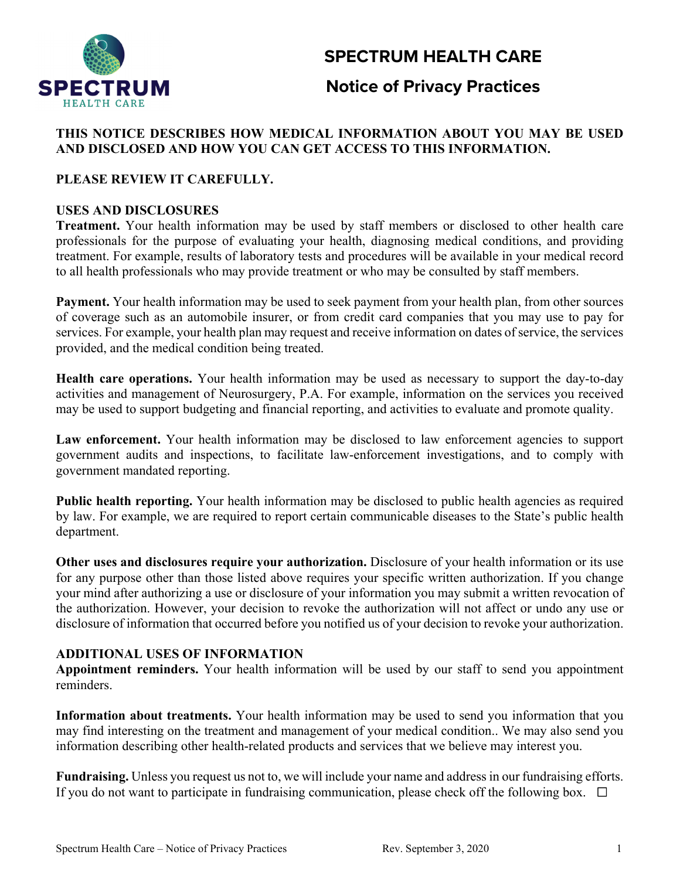# **SPECTRUM HEALTH CARE**



## **Notice of Privacy Practices**

## **THIS NOTICE DESCRIBES HOW MEDICAL INFORMATION ABOUT YOU MAY BE USED AND DISCLOSED AND HOW YOU CAN GET ACCESS TO THIS INFORMATION.**

## **PLEASE REVIEW IT CAREFULLY.**

## **USES AND DISCLOSURES**

**Treatment.** Your health information may be used by staff members or disclosed to other health care professionals for the purpose of evaluating your health, diagnosing medical conditions, and providing treatment. For example, results of laboratory tests and procedures will be available in your medical record to all health professionals who may provide treatment or who may be consulted by staff members.

**Payment.** Your health information may be used to seek payment from your health plan, from other sources of coverage such as an automobile insurer, or from credit card companies that you may use to pay for services. For example, your health plan may request and receive information on dates of service, the services provided, and the medical condition being treated.

**Health care operations.** Your health information may be used as necessary to support the day-to-day activities and management of Neurosurgery, P.A. For example, information on the services you received may be used to support budgeting and financial reporting, and activities to evaluate and promote quality.

Law enforcement. Your health information may be disclosed to law enforcement agencies to support government audits and inspections, to facilitate law-enforcement investigations, and to comply with government mandated reporting.

**Public health reporting.** Your health information may be disclosed to public health agencies as required by law. For example, we are required to report certain communicable diseases to the State's public health department.

**Other uses and disclosures require your authorization.** Disclosure of your health information or its use for any purpose other than those listed above requires your specific written authorization. If you change your mind after authorizing a use or disclosure of your information you may submit a written revocation of the authorization. However, your decision to revoke the authorization will not affect or undo any use or disclosure of information that occurred before you notified us of your decision to revoke your authorization.

## **ADDITIONAL USES OF INFORMATION**

**Appointment reminders.** Your health information will be used by our staff to send you appointment reminders.

**Information about treatments.** Your health information may be used to send you information that you may find interesting on the treatment and management of your medical condition.. We may also send you information describing other health-related products and services that we believe may interest you.

**Fundraising.** Unless you request us not to, we will include your name and address in our fundraising efforts. If you do not want to participate in fundraising communication, please check off the following box.  $\Box$